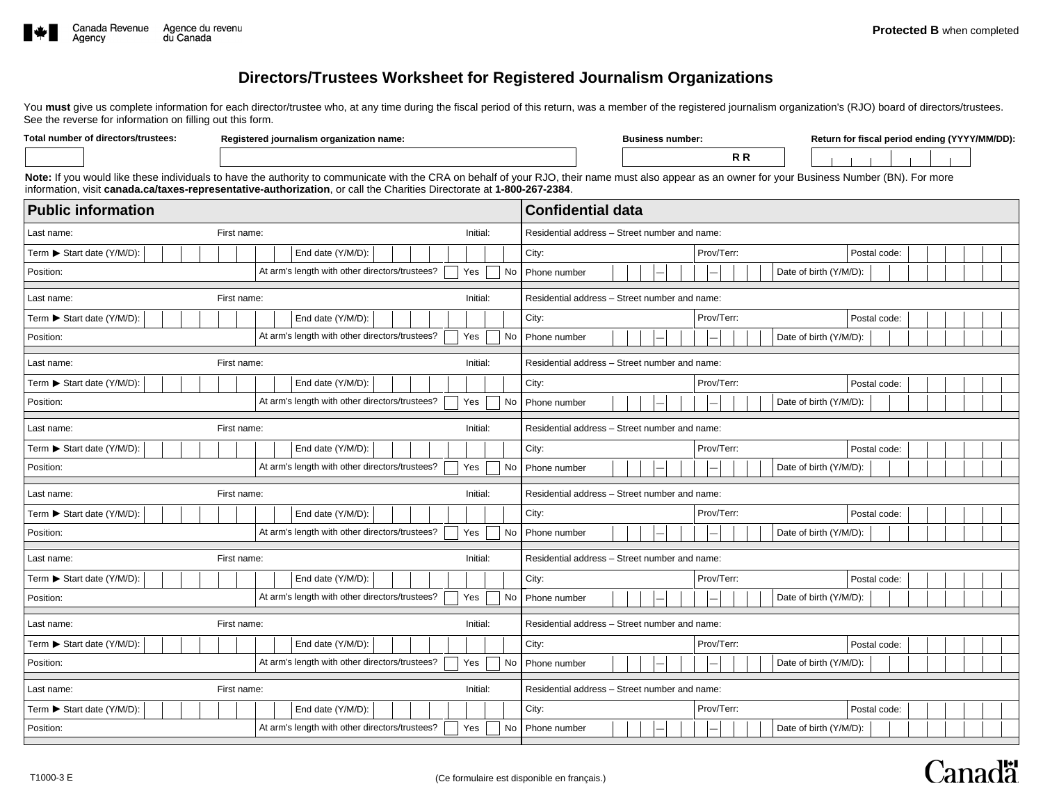

**Total number of directors/trustees:**

# **Directors/Trustees Worksheet for Registered Journalism Organizations**

You must give us complete information for each director/trustee who, at any time during the fiscal period of this return, was a member of the registered journalism organization's (RJO) board of directors/trustees. See the reverse for information on filling out this form.

| Registered journalism organization name: |  | <b>Business number:</b> |  |
|------------------------------------------|--|-------------------------|--|
|                                          |  |                         |  |

**R R**

**Return for fiscal period ending (YYYY/MM/DD):**

Note: If you would like these individuals to have the authority to communicate with the CRA on behalf of your RJO, their name must also appear as an owner for your Business Number (BN). For more information, visit **canada.ca/taxes-representative-authorization**, or call the Charities Directorate at **1-800-267-2384**.

| <b>Public information</b>             |                                                                    | <b>Confidential data</b>                      |  |  |  |
|---------------------------------------|--------------------------------------------------------------------|-----------------------------------------------|--|--|--|
| Last name:                            | Initial:<br>First name:                                            | Residential address - Street number and name: |  |  |  |
| Term ▶ Start date (Y/M/D):            | End date (Y/M/D):                                                  | City:<br>Prov/Terr:<br>Postal code:           |  |  |  |
| Position:                             | At arm's length with other directors/trustees?<br>Yes<br>No        | Date of birth (Y/M/D):<br>Phone number        |  |  |  |
| Last name:                            | First name:<br>Initial:                                            | Residential address - Street number and name: |  |  |  |
| Term ▶ Start date (Y/M/D):            | End date (Y/M/D):                                                  | City:<br>Prov/Terr:<br>Postal code:           |  |  |  |
| Position:                             | At arm's length with other directors/trustees?<br>Yes<br>No        | Phone number<br>Date of birth (Y/M/D):        |  |  |  |
| Last name:                            | Initial:<br>First name:                                            | Residential address - Street number and name: |  |  |  |
| Term ▶ Start date (Y/M/D):            | End date (Y/M/D):                                                  | City:<br>Prov/Terr:<br>Postal code:           |  |  |  |
| Position:                             | At arm's length with other directors/trustees?<br>Yes<br>No        | Phone number<br>Date of birth (Y/M/D):        |  |  |  |
| Last name:                            | First name:<br>Initial:                                            | Residential address - Street number and name: |  |  |  |
| Term ▶ Start date (Y/M/D):            | End date (Y/M/D):                                                  | Prov/Terr:<br>City:<br>Postal code:           |  |  |  |
| Position:                             | At arm's length with other directors/trustees?<br>Yes<br>No        | Phone number<br>Date of birth (Y/M/D):        |  |  |  |
| First name:<br>Initial:<br>Last name: |                                                                    | Residential address - Street number and name: |  |  |  |
| Term ▶ Start date (Y/M/D):            | End date (Y/M/D):                                                  | City:<br>Prov/Terr:<br>Postal code:           |  |  |  |
| Position:                             | At arm's length with other directors/trustees?<br>Yes<br><b>No</b> | Date of birth (Y/M/D):<br>Phone number        |  |  |  |
| Last name:                            | First name:<br>Initial:                                            | Residential address - Street number and name: |  |  |  |
| Term ▶ Start date (Y/M/D):            | End date (Y/M/D):                                                  | City:<br>Prov/Terr:<br>Postal code:           |  |  |  |
| Position:                             | At arm's length with other directors/trustees?<br>Yes<br>No        | Date of birth (Y/M/D):<br>Phone number        |  |  |  |
| Last name:                            | First name:<br>Initial:                                            | Residential address - Street number and name: |  |  |  |
| Term ▶ Start date (Y/M/D):            | End date (Y/M/D):                                                  | City:<br>Prov/Terr:<br>Postal code:           |  |  |  |
| Position:                             | At arm's length with other directors/trustees?<br>Yes<br>No        | Date of birth (Y/M/D):<br>Phone number        |  |  |  |
|                                       |                                                                    | Residential address - Street number and name: |  |  |  |
| Last name:                            | Initial:<br>First name:                                            |                                               |  |  |  |
| Term ▶ Start date (Y/M/D):            | End date (Y/M/D):                                                  | Prov/Terr:<br>City:<br>Postal code:           |  |  |  |
| Position:                             | At arm's length with other directors/trustees?<br>Yes<br>No        | Date of birth (Y/M/D):<br>Phone number        |  |  |  |